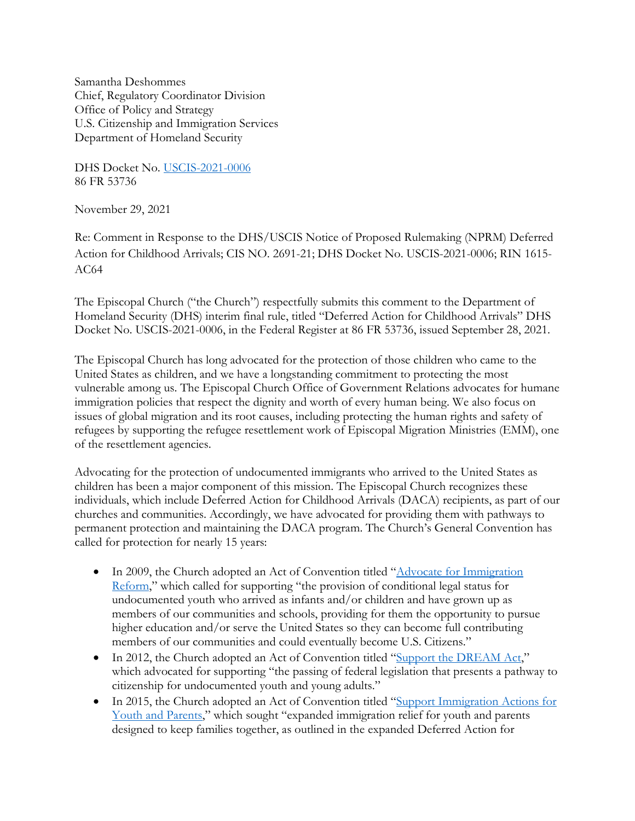Samantha Deshommes Chief, Regulatory Coordinator Division Office of Policy and Strategy U.S. Citizenship and Immigration Services Department of Homeland Security

DHS Docket No. [USCIS-2021-0006](https://www.federalregister.gov/documents/2021/09/28/2021-20898/deferred-action-for-childhood-arrivals) 86 FR 53736

November 29, 2021

Re: Comment in Response to the DHS/USCIS Notice of Proposed Rulemaking (NPRM) Deferred Action for Childhood Arrivals; CIS NO. 2691-21; DHS Docket No. USCIS-2021-0006; RIN 1615- AC64

The Episcopal Church ("the Church") respectfully submits this comment to the Department of Homeland Security (DHS) interim final rule, titled "Deferred Action for Childhood Arrivals" DHS Docket No. USCIS-2021-0006, in the Federal Register at 86 FR 53736, issued September 28, 2021.

The Episcopal Church has long advocated for the protection of those children who came to the United States as children, and we have a longstanding commitment to protecting the most vulnerable among us. The Episcopal Church Office of Government Relations advocates for humane immigration policies that respect the dignity and worth of every human being. We also focus on issues of global migration and its root causes, including protecting the human rights and safety of refugees by supporting the refugee resettlement work of Episcopal Migration Ministries (EMM), one of the resettlement agencies.

Advocating for the protection of undocumented immigrants who arrived to the United States as children has been a major component of this mission. The Episcopal Church recognizes these individuals, which include Deferred Action for Childhood Arrivals (DACA) recipients, as part of our churches and communities. Accordingly, we have advocated for providing them with pathways to permanent protection and maintaining the DACA program. The Church's General Convention has called for protection for nearly 15 years:

- In 2009, the Church adopted an Act of Convention titled "Advocate for Immigration [Reform,](https://www.episcopalarchives.org/cgi-bin/acts/acts_resolution.pl?resolution=2009-B006)" which called for supporting "the provision of conditional legal status for undocumented youth who arrived as infants and/or children and have grown up as members of our communities and schools, providing for them the opportunity to pursue higher education and/or serve the United States so they can become full contributing members of our communities and could eventually become U.S. Citizens."
- In 2012, the Church adopted an Act of Convention titled ["Support the DREAM Act,](https://www.episcopalarchives.org/cgi-bin/acts/acts_resolution.pl?resolution=2012-D067)" which advocated for supporting "the passing of federal legislation that presents a pathway to citizenship for undocumented youth and young adults."
- In 2015, the Church adopted an Act of Convention titled "Support Immigration Actions for [Youth and Parents,](https://www.episcopalarchives.org/cgi-bin/acts/acts_resolution.pl?resolution=2015-D048)" which sought "expanded immigration relief for youth and parents designed to keep families together, as outlined in the expanded Deferred Action for